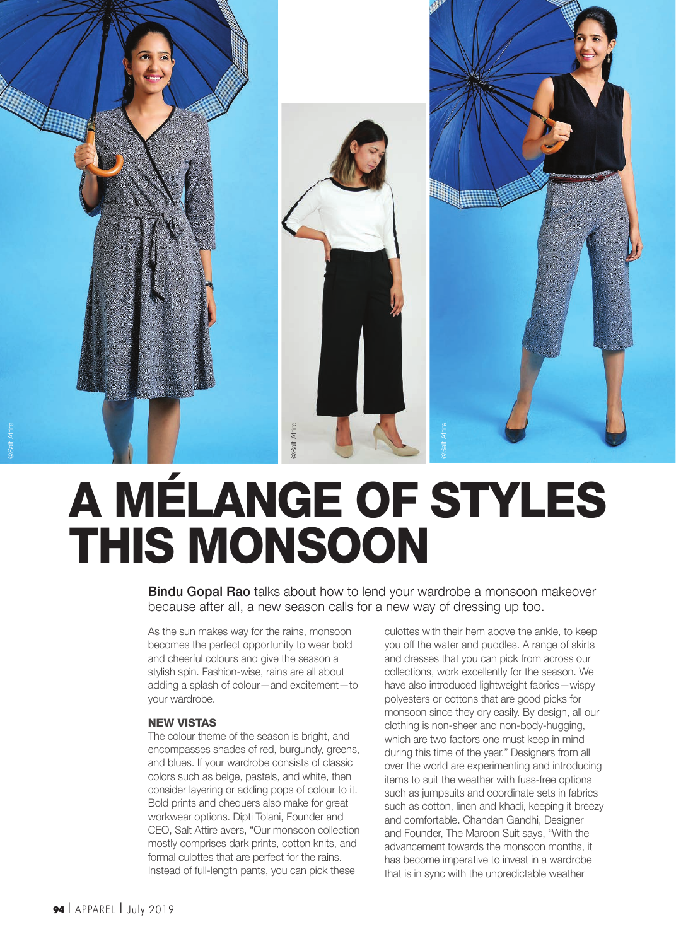

# A MÉLANGE OF STYLES THIS MONSOON

Bindu Gopal Rao talks about how to lend your wardrobe a monsoon makeover because after all, a new season calls for a new way of dressing up too.

As the sun makes way for the rains, monsoon becomes the perfect opportunity to wear bold and cheerful colours and give the season a stylish spin. Fashion-wise, rains are all about adding a splash of colour—and excitement—to your wardrobe.

### NEW VISTAS

The colour theme of the season is bright, and encompasses shades of red, burgundy, greens, and blues. If your wardrobe consists of classic colors such as beige, pastels, and white, then consider layering or adding pops of colour to it. Bold prints and chequers also make for great workwear options. Dipti Tolani, Founder and CEO, Salt Attire avers, "Our monsoon collection mostly comprises dark prints, cotton knits, and formal culottes that are perfect for the rains. Instead of full-length pants, you can pick these

culottes with their hem above the ankle, to keep you off the water and puddles. A range of skirts and dresses that you can pick from across our collections, work excellently for the season. We have also introduced lightweight fabrics—wispy polyesters or cottons that are good picks for monsoon since they dry easily. By design, all our clothing is non-sheer and non-body-hugging, which are two factors one must keep in mind during this time of the year." Designers from all over the world are experimenting and introducing items to suit the weather with fuss-free options such as jumpsuits and coordinate sets in fabrics such as cotton, linen and khadi, keeping it breezy and comfortable. Chandan Gandhi, Designer and Founder, The Maroon Suit says, "With the advancement towards the monsoon months, it has become imperative to invest in a wardrobe that is in sync with the unpredictable weather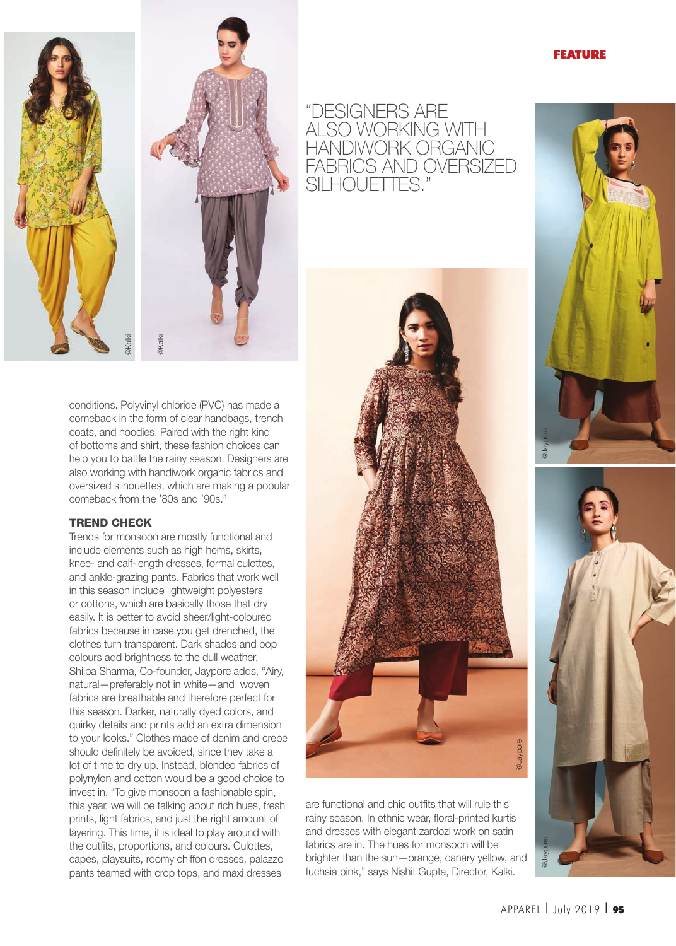### FEATURE



conditions. Polyvinyl chloride (PVC) has made a comeback in the form of clear handbags, trench coats, and hoodies. Paired with the right kind of bottoms and shirt, these fashion choices can help you to battle the rainy season. Designers are also working with handiwork organic fabrics and oversized silhouettes, which are making a popular comeback from the '80s and '90s."

#### TREND CHECK

Trends for monsoon are mostly functional and include elements such as high hems, skirts, knee- and calf-length dresses, formal culottes, and ankle-grazing pants. Fabrics that work well in this season include lightweight polyesters or cottons, which are basically those that dry easily. It is better to avoid sheer/light-coloured fabrics because in case you get drenched, the clothes turn transparent. Dark shades and pop colours add brightness to the dull weather. Shilpa Sharma, Co-founder, Jaypore adds, "Airy, natural—preferably not in white—and woven fabrics are breathable and therefore perfect for this season. Darker, naturally dyed colors, and quirky details and prints add an extra dimension to your looks." Clothes made of denim and crepe should definitely be avoided, since they take a lot of time to dry up. Instead, blended fabrics of polynylon and cotton would be a good choice to invest in. "To give monsoon a fashionable spin, this year, we will be talking about rich hues, fresh prints, light fabrics, and just the right amount of layering. This time, it is ideal to play around with the outfits, proportions, and colours. Culottes, capes, playsuits, roomy chiffon dresses, palazzo pants teamed with crop tops, and maxi dresses





are functional and chic outfits that will rule this rainy season. In ethnic wear, floral-printed kurtis and dresses with elegant zardozi work on satin fabrics are in. The hues for monsoon will be brighter than the sun—orange, canary yellow, and fuchsia pink," says Nishit Gupta, Director, Kalki.



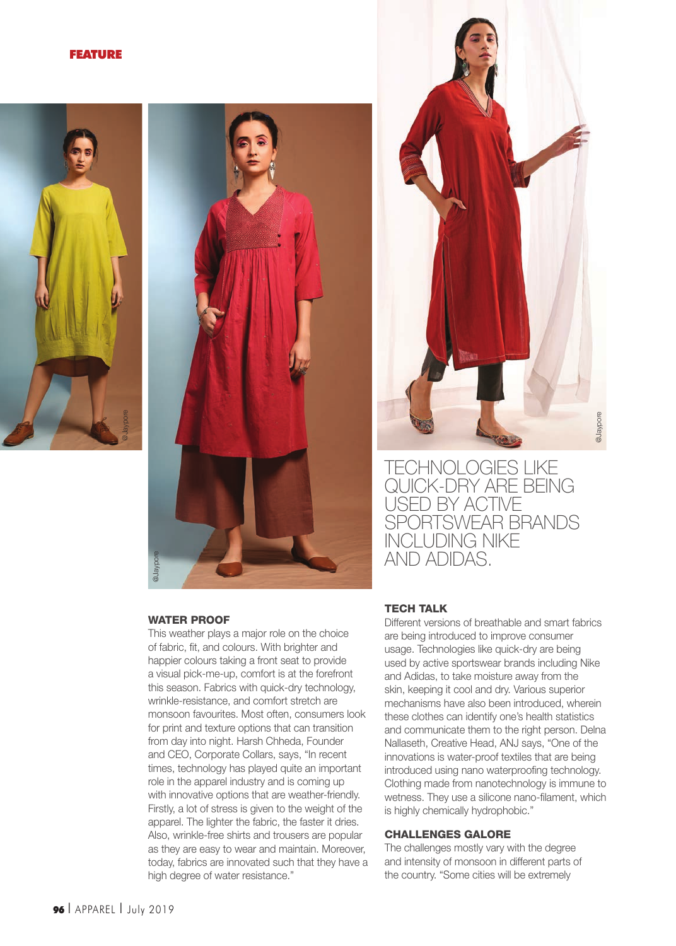#### FEATURE







TECHNOLOGIES LIKE QUICK-DRY ARE BEING USED BY ACTIVE SPORTSWEAR BRANDS INCLUDING NIKE AND ADIDAS.

# WATER PROOF

This weather plays a major role on the choice of fabric, fit, and colours. With brighter and happier colours taking a front seat to provide a visual pick-me-up, comfort is at the forefront this season. Fabrics with quick-dry technology, wrinkle-resistance, and comfort stretch are monsoon favourites. Most often, consumers look for print and texture options that can transition from day into night. Harsh Chheda, Founder and CEO, Corporate Collars, says, "In recent times, technology has played quite an important role in the apparel industry and is coming up with innovative options that are weather-friendly. Firstly, a lot of stress is given to the weight of the apparel. The lighter the fabric, the faster it dries. Also, wrinkle-free shirts and trousers are popular as they are easy to wear and maintain. Moreover, today, fabrics are innovated such that they have a high degree of water resistance."

#### TECH TALK

Different versions of breathable and smart fabrics are being introduced to improve consumer usage. Technologies like quick-dry are being used by active sportswear brands including Nike and Adidas, to take moisture away from the skin, keeping it cool and dry. Various superior mechanisms have also been introduced, wherein these clothes can identify one's health statistics and communicate them to the right person. Delna Nallaseth, Creative Head, ANJ says, "One of the innovations is water-proof textiles that are being introduced using nano waterproofing technology. Clothing made from nanotechnology is immune to wetness. They use a silicone nano-filament, which is highly chemically hydrophobic."

## CHALLENGES GALORE

The challenges mostly vary with the degree and intensity of monsoon in different parts of the country. "Some cities will be extremely